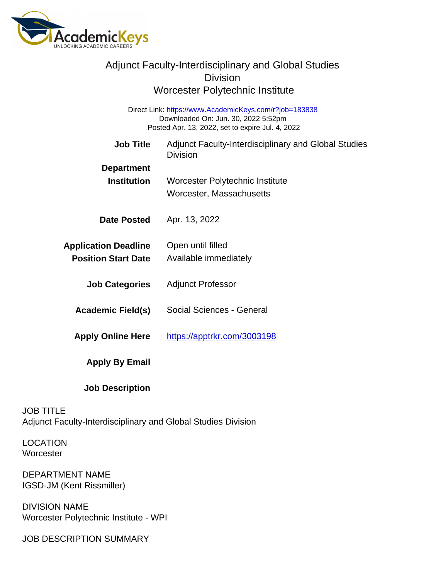| <b>Adjunct Faculty-Interdisciplinary and Global Studies</b><br><b>Division</b>                                                                    |                                                                         |
|---------------------------------------------------------------------------------------------------------------------------------------------------|-------------------------------------------------------------------------|
| Worcester Polytechnic Institute                                                                                                                   |                                                                         |
| Direct Link: https://www.AcademicKeys.com/r?job=183838<br>Downloaded On: Jun. 30, 2022 5:52pm<br>Posted Apr. 13, 2022, set to expire Jul. 4, 2022 |                                                                         |
| <b>Job Title</b>                                                                                                                                  | Adjunct Faculty-Interdisciplinary and Global Studies<br><b>Division</b> |
| Department                                                                                                                                        |                                                                         |
| Institution                                                                                                                                       | Worcester Polytechnic Institute<br>Worcester, Massachusetts             |
| Date Posted                                                                                                                                       | Apr. 13, 2022                                                           |
| <b>Application Deadline</b><br><b>Position Start Date</b>                                                                                         | Open until filled<br>Available immediately                              |
| <b>Job Categories</b>                                                                                                                             | <b>Adjunct Professor</b>                                                |
| Academic Field(s)                                                                                                                                 | Social Sciences - General                                               |
| Apply Online Here                                                                                                                                 | https://apptrkr.com/3003198                                             |
| Apply By Email                                                                                                                                    |                                                                         |
| <b>Job Description</b>                                                                                                                            |                                                                         |

JOB TITLE Adjunct Faculty-Interdisciplinary and Global Studies Division

LOCATION **Worcester** 

DEPARTMENT NAME IGSD-JM (Kent Rissmiller)

DIVISION NAME Worcester Polytechnic Institute - WPI

JOB DESCRIPTION SUMMARY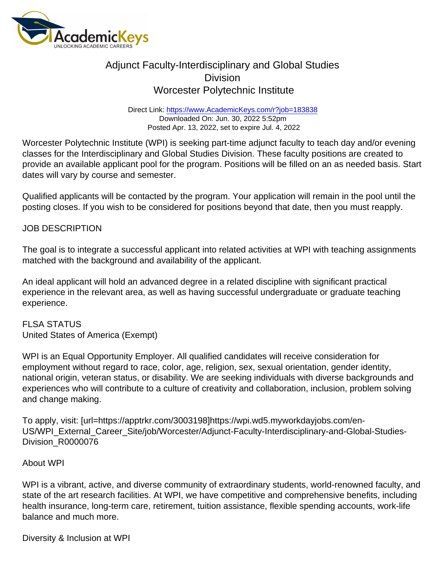## Adjunct Faculty-Interdisciplinary and Global Studies **Division** Worcester Polytechnic Institute

Direct Link: <https://www.AcademicKeys.com/r?job=183838> Downloaded On: Jun. 30, 2022 5:52pm Posted Apr. 13, 2022, set to expire Jul. 4, 2022

Worcester Polytechnic Institute (WPI) is seeking part-time adjunct faculty to teach day and/or evening classes for the Interdisciplinary and Global Studies Division. These faculty positions are created to provide an available applicant pool for the program. Positions will be filled on an as needed basis. Start dates will vary by course and semester.

Qualified applicants will be contacted by the program. Your application will remain in the pool until the posting closes. If you wish to be considered for positions beyond that date, then you must reapply.

## JOB DESCRIPTION

The goal is to integrate a successful applicant into related activities at WPI with teaching assignments matched with the background and availability of the applicant.

An ideal applicant will hold an advanced degree in a related discipline with significant practical experience in the relevant area, as well as having successful undergraduate or graduate teaching experience.

FLSA STATUS United States of America (Exempt)

WPI is an Equal Opportunity Employer. All qualified candidates will receive consideration for employment without regard to race, color, age, religion, sex, sexual orientation, gender identity, national origin, veteran status, or disability. We are seeking individuals with diverse backgrounds and experiences who will contribute to a culture of creativity and collaboration, inclusion, problem solving and change making.

To apply, visit: [url=https://apptrkr.com/3003198]https://wpi.wd5.myworkdayjobs.com/en-US/WPI\_External\_Career\_Site/job/Worcester/Adjunct-Faculty-Interdisciplinary-and-Global-Studies-Division\_R0000076

## About WPI

WPI is a vibrant, active, and diverse community of extraordinary students, world-renowned faculty, and state of the art research facilities. At WPI, we have competitive and comprehensive benefits, including health insurance, long-term care, retirement, tuition assistance, flexible spending accounts, work-life balance and much more.

Diversity & Inclusion at WPI